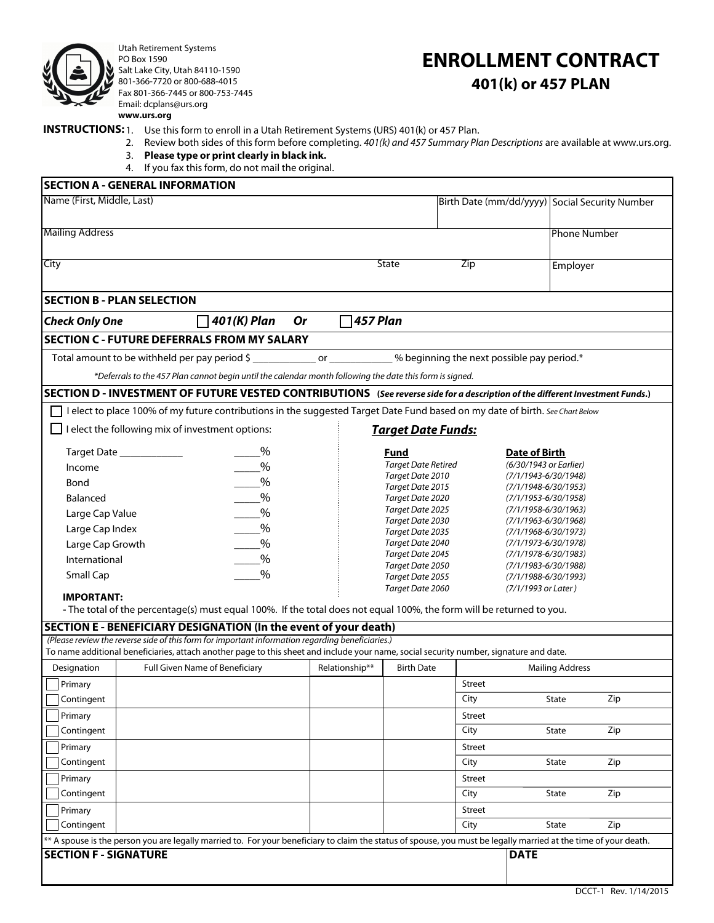

Utah Retirement Systems PO Box 1590 Salt Lake City, Utah 84110-1590 801-366-7720 or 800-688-4015 Fax 801-366-7445 or 800-753-7445 Email: dcplans@urs.org **www.urs.org**

# **ENROLLMENT CONTRACT 401(k) or 457 PLAN**

## **INSTRUCTIONS:** 1. Use this form to enroll in a Utah Retirement Systems (URS) 401(k) or 457 Plan.

- 2. Review both sides of this form before completing. *401(k) and 457 Summary Plan Descriptions* are available at www.urs.org.
	- 3. **Please type or print clearly in black ink.**
	- 4. If you fax this form, do not mail the original.

| <b>SECTION A - GENERAL INFORMATION</b>                                                                                                                                                                          |                                      |                                                                          |                |                                                      |     |  |  |  |  |  |  |
|-----------------------------------------------------------------------------------------------------------------------------------------------------------------------------------------------------------------|--------------------------------------|--------------------------------------------------------------------------|----------------|------------------------------------------------------|-----|--|--|--|--|--|--|
| Name (First, Middle, Last)                                                                                                                                                                                      |                                      |                                                                          |                | Birth Date (mm/dd/yyyy) Social Security Number       |     |  |  |  |  |  |  |
| <b>Mailing Address</b>                                                                                                                                                                                          |                                      |                                                                          |                | <b>Phone Number</b>                                  |     |  |  |  |  |  |  |
| City                                                                                                                                                                                                            |                                      | <b>State</b>                                                             | Zip            | Employer                                             |     |  |  |  |  |  |  |
| <b>SECTION B - PLAN SELECTION</b>                                                                                                                                                                               |                                      |                                                                          |                |                                                      |     |  |  |  |  |  |  |
| <b>Check Only One</b><br>$\Box$ 401(K) Plan                                                                                                                                                                     | 457 Plan<br>Or                       |                                                                          |                |                                                      |     |  |  |  |  |  |  |
| <b>SECTION C - FUTURE DEFERRALS FROM MY SALARY</b>                                                                                                                                                              |                                      |                                                                          |                |                                                      |     |  |  |  |  |  |  |
| Total amount to be withheld per pay period \$ _______________ or ____________% beginning the next possible pay period.*                                                                                         |                                      |                                                                          |                |                                                      |     |  |  |  |  |  |  |
| *Deferrals to the 457 Plan cannot begin until the calendar month following the date this form is signed.                                                                                                        |                                      |                                                                          |                |                                                      |     |  |  |  |  |  |  |
| SECTION D - INVESTMENT OF FUTURE VESTED CONTRIBUTIONS (See reverse side for a description of the different Investment Funds.)                                                                                   |                                      |                                                                          |                |                                                      |     |  |  |  |  |  |  |
| I elect to place 100% of my future contributions in the suggested Target Date Fund based on my date of birth. See Chart Below                                                                                   |                                      |                                                                          |                |                                                      |     |  |  |  |  |  |  |
| I elect the following mix of investment options:                                                                                                                                                                | <b>Target Date Funds:</b>            |                                                                          |                |                                                      |     |  |  |  |  |  |  |
| $\%$<br>%                                                                                                                                                                                                       |                                      | Fund<br><b>Target Date Retired</b>                                       |                | Date of Birth<br>(6/30/1943 or Earlier)              |     |  |  |  |  |  |  |
| Income<br>%<br>Bond                                                                                                                                                                                             |                                      | Target Date 2010                                                         |                | $(7/1/1943 - 6/30/1948)$<br>$(7/1/1948 - 6/30/1953)$ |     |  |  |  |  |  |  |
| $-$ %<br>Balanced                                                                                                                                                                                               | Target Date 2015<br>Target Date 2020 |                                                                          |                |                                                      |     |  |  |  |  |  |  |
| $\frac{9}{6}$<br>Large Cap Value                                                                                                                                                                                |                                      | Target Date 2025                                                         |                | $(7/1/1953 - 6/30/1958)$<br>$(7/1/1958 - 6/30/1963)$ |     |  |  |  |  |  |  |
| $\frac{9}{6}$<br>Large Cap Index                                                                                                                                                                                |                                      | Target Date 2030<br>Target Date 2035                                     |                | $(7/1/1963 - 6/30/1968)$                             |     |  |  |  |  |  |  |
| $\frac{9}{6}$<br>Large Cap Growth                                                                                                                                                                               |                                      | $(7/1/1968 - 6/30/1973)$<br>Target Date 2040<br>$(7/1/1973 - 6/30/1978)$ |                |                                                      |     |  |  |  |  |  |  |
| $\frac{9}{6}$<br>International                                                                                                                                                                                  |                                      | Target Date 2045                                                         |                | $(7/1/1978 - 6/30/1983)$                             |     |  |  |  |  |  |  |
| $\frac{0}{0}$<br>Small Cap                                                                                                                                                                                      |                                      | Target Date 2050<br>Target Date 2055                                     |                | $(7/1/1983 - 6/30/1988)$<br>$(7/1/1988 - 6/30/1993)$ |     |  |  |  |  |  |  |
| <b>IMPORTANT:</b>                                                                                                                                                                                               |                                      | Target Date 2060                                                         |                | (7/1/1993 or Later)                                  |     |  |  |  |  |  |  |
| - The total of the percentage(s) must equal 100%. If the total does not equal 100%, the form will be returned to you.                                                                                           |                                      |                                                                          |                |                                                      |     |  |  |  |  |  |  |
| SECTION E - BENEFICIARY DESIGNATION (In the event of your death)                                                                                                                                                |                                      |                                                                          |                |                                                      |     |  |  |  |  |  |  |
| (Please review the reverse side of this form for important information regarding beneficiaries.)                                                                                                                |                                      |                                                                          |                |                                                      |     |  |  |  |  |  |  |
| To name additional beneficiaries, attach another page to this sheet and include your name, social security number, signature and date.                                                                          |                                      |                                                                          |                |                                                      |     |  |  |  |  |  |  |
| Full Given Name of Beneficiary<br>Designation                                                                                                                                                                   | Relationship**                       | <b>Birth Date</b>                                                        |                | <b>Mailing Address</b>                               |     |  |  |  |  |  |  |
| Primary                                                                                                                                                                                                         |                                      |                                                                          | Street         |                                                      |     |  |  |  |  |  |  |
| Contingent                                                                                                                                                                                                      |                                      |                                                                          | City           | State                                                | Zip |  |  |  |  |  |  |
| Primary<br>Contingent                                                                                                                                                                                           |                                      |                                                                          | Street<br>City | State                                                | Zip |  |  |  |  |  |  |
|                                                                                                                                                                                                                 |                                      |                                                                          |                |                                                      |     |  |  |  |  |  |  |
| Primary<br>Contingent                                                                                                                                                                                           |                                      |                                                                          | Street<br>City | State                                                | Zip |  |  |  |  |  |  |
|                                                                                                                                                                                                                 |                                      |                                                                          |                |                                                      |     |  |  |  |  |  |  |
| Primary<br>Contingent                                                                                                                                                                                           |                                      |                                                                          | Street<br>City | State                                                | Zip |  |  |  |  |  |  |
| Primary                                                                                                                                                                                                         |                                      |                                                                          | Street         |                                                      |     |  |  |  |  |  |  |
| Contingent                                                                                                                                                                                                      |                                      |                                                                          | City           | State                                                | Zip |  |  |  |  |  |  |
|                                                                                                                                                                                                                 |                                      |                                                                          |                |                                                      |     |  |  |  |  |  |  |
| ** A spouse is the person you are legally married to. For your beneficiary to claim the status of spouse, you must be legally married at the time of your death.<br><b>SECTION F - SIGNATURE</b><br><b>DATE</b> |                                      |                                                                          |                |                                                      |     |  |  |  |  |  |  |
|                                                                                                                                                                                                                 |                                      |                                                                          |                |                                                      |     |  |  |  |  |  |  |
|                                                                                                                                                                                                                 |                                      |                                                                          |                |                                                      |     |  |  |  |  |  |  |